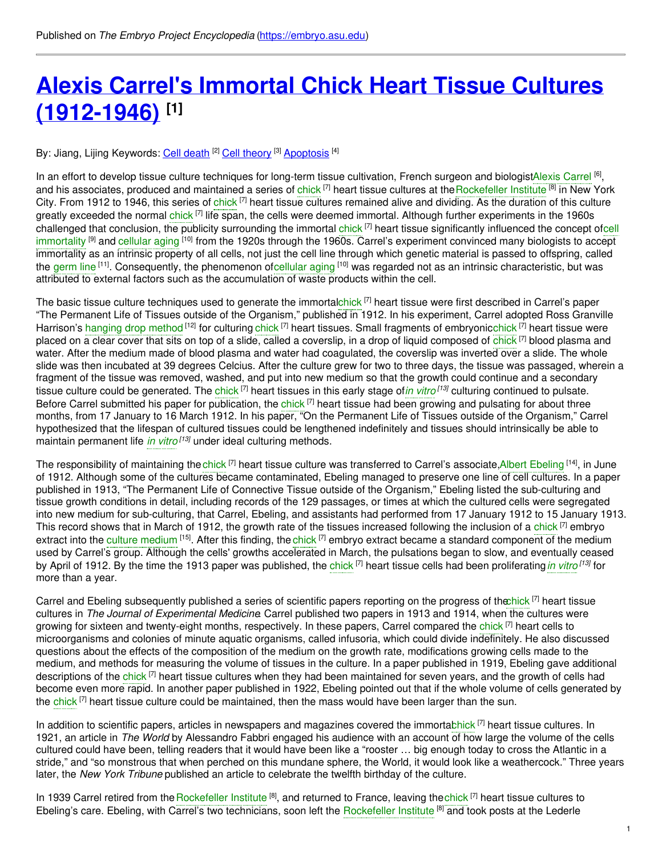# **Alexis Carrel's Immortal Chick Heart Tissue Cultures [\(1912-1946\)](https://embryo.asu.edu/pages/alexis-carrels-immortal-chick-heart-tissue-cultures-1912-1946) [1]**

By: Jiang, Lijing Keywords: <u>Cell [death](https://embryo.asu.edu/keywords/cell-death) [2] Cell [theory](https://embryo.asu.edu/keywords/cell-theory)</u> [3] [Apoptosis](https://embryo.asu.edu/keywords/apoptosis) [4]

In an effort to develop tissue culture techniques for long-term tissue cultivation, French surgeon and biologistAlexis [Carrel](https://embryo.asu.edu/search?text=Alexis%20Carrel) <sup>[6]</sup>, and his associates, produced and maintained a series of [chick](https://embryo.asu.edu/search?text=chick) <sup>[7]</sup> heart tissue cultures at the [Rockefeller](https://embryo.asu.edu/search?text=Rockefeller%20Institute) Institute [8] in New York City. From 1912 to 1946, this series of [chick](https://embryo.asu.edu/search?text=chick)<sup>[7]</sup> heart tissue cultures remained alive and dividing. As the duration of this culture greatly exceeded the normal [chick](https://embryo.asu.edu/search?text=chick) <sup>[7]</sup> life span, the cells were deemed immortal. Although further experiments in the 1960s challenged that conclusion, the publicity [surrounding](https://embryo.asu.edu/search?text=cell%20immortality) the immortal [chick](https://embryo.asu.edu/search?text=chick) [7] heart tissue significantly influenced the concept ofcell immortality <sup>[9]</sup> and [cellular](https://embryo.asu.edu/search?text=cellular%20aging) aging <sup>[10]</sup> from the 1920s through the 1960s. Carrel's experiment convinced many biologists to accept immortality as an intrinsic property of all cells, not just the cell line through which genetic material is passed to offspring, called the [germ](https://embryo.asu.edu/search?text=germ%20line) line <sup>[11]</sup>. Consequently, the phenomenon of[cellular](https://embryo.asu.edu/search?text=cellular%20aging) aging <sup>[10]</sup> was regarded not as an intrinsic characteristic, but was attributed to external factors such as the accumulation of waste products within the cell.

The basic tissue culture techniques used to generate the immortalc<mark>hick [7]</mark> heart tissue were first described in Carrel's paper "The Permanent Life of Tissues outside of the Organism," published in 1912. In his experiment, Carrel adopted Ross Granville Harrison's [hanging](https://embryo.asu.edu/search?text=hanging%20drop%20method) drop method <sup>[12]</sup> for culturing [chick](https://embryo.asu.edu/search?text=chick) <sup>[7]</sup> heart tissues. Small fragments of embryonicchick <sup>[7]</sup> heart tissue were placed on a clear cover that sits on top of a slide, called a coverslip, in a drop of liquid composed of [chick](https://embryo.asu.edu/search?text=chick) <sup>[7]</sup> blood plasma and water. After the medium made of blood plasma and water had coagulated, the coverslip was inverted over a slide. The whole slide was then incubated at 39 degrees Celcius. After the culture grew for two to three days, the tissue was passaged, wherein a fragment of the tissue was removed, washed, and put into new medium so that the growth could continue and a secondary tissue culture could be generated. The [chick](https://embryo.asu.edu/search?text=chick) <sup>[7]</sup> heart tissues in this early stage of*in [vitro](https://embryo.asu.edu/search?text=in%20vitro)* <sup>[13]</sup> culturing continued to pulsate. Before Carrel submitted his paper for publication, the [chick](https://embryo.asu.edu/search?text=chick) [7] heart tissue had been growing and pulsating for about three months, from 17 January to 16 March 1912. In his paper, "On the Permanent Life of Tissues outside of the Organism," Carrel hypothesized that the lifespan of cultured tissues could be lengthened indefinitely and tissues should intrinsically be able to maintain permanent life *in [vitro](https://embryo.asu.edu/search?text=in%20vitro) [13]* under ideal culturing methods.

The responsibility of maintaining the c<mark>hick [7</mark>] heart tissue culture was transferred to Carrel's associate,Albert [Ebeling](https://embryo.asu.edu/search?text=Albert%20Ebeling) [14], in June of 1912. Although some of the cultures became contaminated, Ebeling managed to preserve one line of cell cultures. In a paper published in 1913, "The Permanent Life of Connective Tissue outside of the Organism," Ebeling listed the sub-culturing and tissue growth conditions in detail, including records of the 129 passages, or times at which the cultured cells were segregated into new medium for sub-culturing, that Carrel, Ebeling, and assistants had performed from 17 January 1912 to 15 January 1913. This record shows that in March of 1912, the growth rate of the tissues increased following the inclusion of a [chick](https://embryo.asu.edu/search?text=chick) <sup>[7]</sup> embryo extract into the culture [medium](https://embryo.asu.edu/search?text=culture%20medium) <sup>[15]</sup>. After this finding, the [chick](https://embryo.asu.edu/search?text=chick) <sup>[7]</sup> embryo extract became a standard component of the medium used by Carrel's group. Although the cells' growths accelerated in March, the pulsations began to slow, and eventually ceased by April of 1912. By the time the 1913 paper was published, the [chick](https://embryo.asu.edu/search?text=chick) <sup>[7]</sup> heart tissue cells had been proliferating*in [vitro](https://embryo.asu.edu/search?text=in%20vitro)* <sup>[13]</sup> for more than a year.

Carrel and Ebeling subsequently published a series of scientific papers reporting on the progress of th[echick](https://embryo.asu.edu/search?text=chick) <sup>[7]</sup> heart tissue cultures in *The Journal of Experimental Medicine*. Carrel published two papers in 1913 and 1914, when the cultures were growing for sixteen and twenty-eight months, respectively. In these papers, Carrel compared the [chick](https://embryo.asu.edu/search?text=chick) <sup>[7]</sup> heart cells to microorganisms and colonies of minute aquatic organisms, called infusoria, which could divide indefinitely. He also discussed questions about the effects of the composition of the medium on the growth rate, modifications growing cells made to the medium, and methods for measuring the volume of tissues in the culture. In a paper published in 1919, Ebeling gave additional descriptions of the [chick](https://embryo.asu.edu/search?text=chick) <sup>[7]</sup> heart tissue cultures when they had been maintained for seven years, and the growth of cells had become even more rapid. In another paper published in 1922, Ebeling pointed out that if the whole volume of cells generated by the [chick](https://embryo.asu.edu/search?text=chick) <sup>[7]</sup> heart tissue culture could be maintained, then the mass would have been larger than the sun.

In addition to scientific papers, articles in newspapers and magazines covered the immortabhick <sup>[7]</sup> heart tissue cultures. In 1921, an article in *The World* by Alessandro Fabbri engaged his audience with an account of how large the volume of the cells cultured could have been, telling readers that it would have been like a "rooster … big enough today to cross the Atlantic in a stride," and "so monstrous that when perched on this mundane sphere, the World, it would look like a weathercock." Three years later, the *New York Tribune* published an article to celebrate the twelfth birthday of the culture.

In 1939 Carrel retired from the [Rockefeller](https://embryo.asu.edu/search?text=Rockefeller%20Institute) Institute <sup>[8]</sup>, and returned to France, leaving the [chick](https://embryo.asu.edu/search?text=chick) <sup>[7]</sup> heart tissue cultures to Ebeling's care. Ebeling, with Carrel's two technicians, soon left the [Rockefeller](https://embryo.asu.edu/search?text=Rockefeller%20Institute) Institute<sup>[8]</sup> and took posts at the Lederle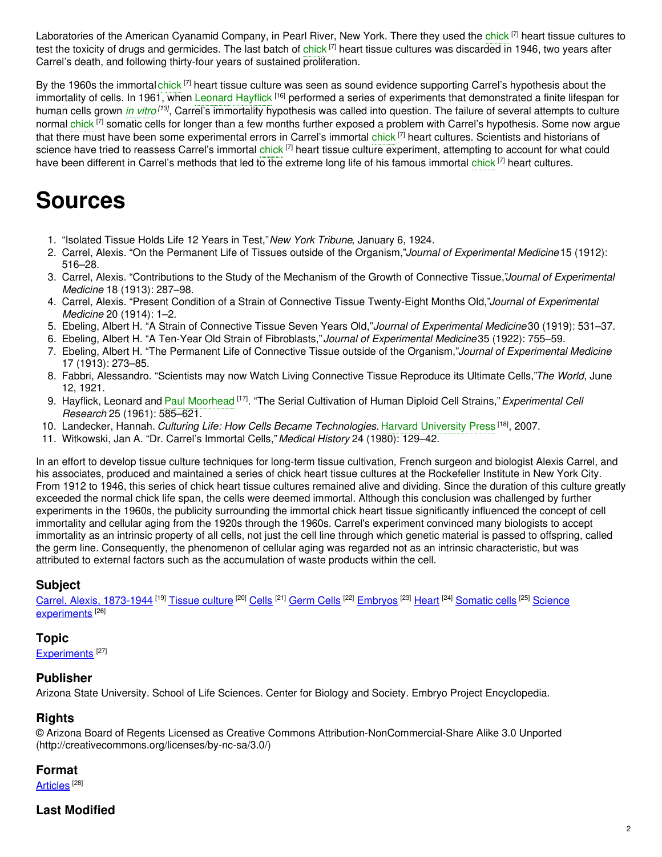Laboratories of the American Cyanamid Company, in Pearl River, New York. There they used the [chick](https://embryo.asu.edu/search?text=chick) [7] heart tissue cultures to test the toxicity of drugs and germicides. The last batch of <mark>[chick](https://embryo.asu.edu/search?text=chick) [7]</mark> heart tissue cultures was discarded in 1946, two years after Carrel's death, and following thirty-four years of sustained proliferation.

By the 1960s the immortal [chick](https://embryo.asu.edu/search?text=chick) <sup>[7]</sup> heart tissue culture was seen as sound evidence supporting Carrel's hypothesis about the immortality of cells. In 1961, when [Leonard](https://embryo.asu.edu/search?text=Leonard%20Hayflick) Hayflick <sup>[16]</sup> performed a series of experiments that demonstrated a finite lifespan for human cells grown *in [vitro](https://embryo.asu.edu/search?text=in%20vitro)<sup>[13]</sup>*, Carrel's immortality hypothesis was called into question. The failure of several attempts to culture normal [chick](https://embryo.asu.edu/search?text=chick) <sup>[7]</sup> somatic cells for longer than a few months further exposed a problem with Carrel's hypothesis. Some now argue that there must have been some experimental errors in Carrel's immortal [chick](https://embryo.asu.edu/search?text=chick) <sup>[7]</sup> heart cultures. Scientists and historians of science have tried to reassess Carrel's immortal [chick](https://embryo.asu.edu/search?text=chick) <sup>[7]</sup> heart tissue culture experiment, attempting to account for what could have been different in Carrel's methods that led to the extreme long life of his famous immortal [chick](https://embryo.asu.edu/search?text=chick) <sup>[7]</sup> heart cultures.

## **Sources**

- 1. "Isolated Tissue Holds Life 12 Years in Test,"*New York Tribune*, January 6, 1924.
- 2. Carrel, Alexis. "On the Permanent Life of Tissues outside of the Organism,"*Journal of Experimental Medicine*15 (1912): 516–28.
- 3. Carrel, Alexis. "Contributions to the Study of the Mechanism of the Growth of Connective Tissue,"*Journal of Experimental Medicine* 18 (1913): 287–98.
- 4. Carrel, Alexis. "Present Condition of a Strain of Connective Tissue Twenty-Eight Months Old,"*Journal of Experimental Medicine* 20 (1914): 1–2.
- 5. Ebeling, Albert H. "A Strain of Connective Tissue Seven Years Old,"*Journal of Experimental Medicine*30 (1919): 531–37.
- 6. Ebeling, Albert H. "A Ten-Year Old Strain of Fibroblasts,"*Journal of Experimental Medicine*35 (1922): 755–59.
- 7. Ebeling, Albert H. "The Permanent Life of Connective Tissue outside of the Organism,"*Journal of Experimental Medicine* 17 (1913): 273–85.
- 8. Fabbri, Alessandro. "Scientists may now Watch Living Connective Tissue Reproduce its Ultimate Cells,"*The World*, June 12, 1921.
- 9. Hayflick, Leonard and Paul [Moorhead](https://embryo.asu.edu/search?text=Paul%20Moorhead) <sup>[17]</sup>. "The Serial Cultivation of Human Diploid Cell Strains," *Experimental Cell Research* 25 (1961): 585–621.
- 10. Landecker, Hannah. *Culturing Life: How Cells Became Technologies.* Harvard [University](https://embryo.asu.edu/search?text=Harvard%20University%20Press) Press [18] , 2007.
- 11. Witkowski, Jan A. "Dr. Carrel's Immortal Cells,"*Medical History* 24 (1980): 129–42.

In an effort to develop tissue culture techniques for long-term tissue cultivation, French surgeon and biologist Alexis Carrel, and his associates, produced and maintained a series of chick heart tissue cultures at the Rockefeller Institute in New York City. From 1912 to 1946, this series of chick heart tissue cultures remained alive and dividing. Since the duration of this culture greatly exceeded the normal chick life span, the cells were deemed immortal. Although this conclusion was challenged by further experiments in the 1960s, the publicity surrounding the immortal chick heart tissue significantly influenced the concept of cell immortality and cellular aging from the 1920s through the 1960s. Carrel's experiment convinced many biologists to accept immortality as an intrinsic property of all cells, not just the cell line through which genetic material is passed to offspring, called the germ line. Consequently, the phenomenon of cellular aging was regarded not as an intrinsic characteristic, but was attributed to external factors such as the accumulation of waste products within the cell.

### **Subject**

Carrel, Alexis, [1873-1944](https://embryo.asu.edu/library-congress-subject-headings/carrel-alexis-1873-1944) <sup>[19]</sup> [Tissue](https://embryo.asu.edu/library-congress-subject-headings/tissue-culture) culture <sup>[20]</sup> [Cells](https://embryo.asu.edu/library-congress-subject-headings/cells) <sup>[21]</sup> [Germ](https://embryo.asu.edu/library-congress-subject-headings/germ-cells) Cells <sup>[22]</sup> [Embryos](https://embryo.asu.edu/library-congress-subject-headings/embryos) <sup>[23]</sup> [Heart](https://embryo.asu.edu/library-congress-subject-headings/heart) <sup>[24]</sup> [Somatic](https://embryo.asu.edu/library-congress-subject-headings/somatic-cells) cells <sup>[25]</sup> Science [experiments](https://embryo.asu.edu/library-congress-subject-headings/science-experiments)<sup>[26]</sup>

### **Topic**

[Experiments](https://embryo.asu.edu/topics/experiments)<sup>[27]</sup>

### **Publisher**

Arizona State University. School of Life Sciences. Center for Biology and Society. Embryo Project Encyclopedia.

### **Rights**

© Arizona Board of Regents Licensed as Creative Commons Attribution-NonCommercial-Share Alike 3.0 Unported (http://creativecommons.org/licenses/by-nc-sa/3.0/)

### **Format**

[Articles](https://embryo.asu.edu/formats/articles)  $^{\rm [28]}$ 

### **Last Modified**